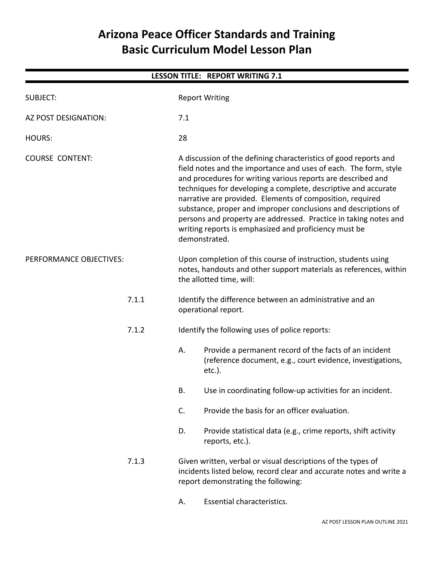# **Arizona Peace Officer Standards and Training Basic Curriculum Model Lesson Plan**

| <b>LESSON TITLE: REPORT WRITING 7.1</b> |                                                                                                                                                                                                                                                                                                                                                                                                                                                                                                                                                     |  |  |  |  |  |
|-----------------------------------------|-----------------------------------------------------------------------------------------------------------------------------------------------------------------------------------------------------------------------------------------------------------------------------------------------------------------------------------------------------------------------------------------------------------------------------------------------------------------------------------------------------------------------------------------------------|--|--|--|--|--|
| <b>SUBJECT:</b>                         | <b>Report Writing</b>                                                                                                                                                                                                                                                                                                                                                                                                                                                                                                                               |  |  |  |  |  |
| AZ POST DESIGNATION:                    | 7.1                                                                                                                                                                                                                                                                                                                                                                                                                                                                                                                                                 |  |  |  |  |  |
| <b>HOURS:</b>                           | 28                                                                                                                                                                                                                                                                                                                                                                                                                                                                                                                                                  |  |  |  |  |  |
| <b>COURSE CONTENT:</b>                  | A discussion of the defining characteristics of good reports and<br>field notes and the importance and uses of each. The form, style<br>and procedures for writing various reports are described and<br>techniques for developing a complete, descriptive and accurate<br>narrative are provided. Elements of composition, required<br>substance, proper and improper conclusions and descriptions of<br>persons and property are addressed. Practice in taking notes and<br>writing reports is emphasized and proficiency must be<br>demonstrated. |  |  |  |  |  |
| PERFORMANCE OBJECTIVES:                 | Upon completion of this course of instruction, students using<br>notes, handouts and other support materials as references, within<br>the allotted time, will:                                                                                                                                                                                                                                                                                                                                                                                      |  |  |  |  |  |
| 7.1.1                                   | Identify the difference between an administrative and an<br>operational report.                                                                                                                                                                                                                                                                                                                                                                                                                                                                     |  |  |  |  |  |
| 7.1.2                                   | Identify the following uses of police reports:                                                                                                                                                                                                                                                                                                                                                                                                                                                                                                      |  |  |  |  |  |
|                                         | А.<br>Provide a permanent record of the facts of an incident<br>(reference document, e.g., court evidence, investigations,<br>$etc.$ ).                                                                                                                                                                                                                                                                                                                                                                                                             |  |  |  |  |  |
|                                         | Use in coordinating follow-up activities for an incident.<br>В.                                                                                                                                                                                                                                                                                                                                                                                                                                                                                     |  |  |  |  |  |
|                                         | Provide the basis for an officer evaluation.<br>C.                                                                                                                                                                                                                                                                                                                                                                                                                                                                                                  |  |  |  |  |  |
|                                         | D.<br>Provide statistical data (e.g., crime reports, shift activity<br>reports, etc.).                                                                                                                                                                                                                                                                                                                                                                                                                                                              |  |  |  |  |  |
| 7.1.3                                   | Given written, verbal or visual descriptions of the types of<br>incidents listed below, record clear and accurate notes and write a<br>report demonstrating the following:                                                                                                                                                                                                                                                                                                                                                                          |  |  |  |  |  |
|                                         |                                                                                                                                                                                                                                                                                                                                                                                                                                                                                                                                                     |  |  |  |  |  |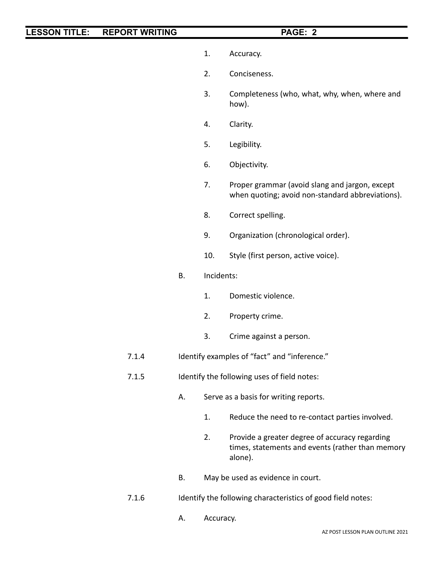- 1. Accuracy.
- 2. Conciseness.
- 3. Completeness (who, what, why, when, where and how).
- 4. Clarity.
- 5. Legibility.
- 6. Objectivity.
- 7. Proper grammar (avoid slang and jargon, except when quoting; avoid non-standard abbreviations).
- 8. Correct spelling.
- 9. Organization (chronological order).
- 10. Style (first person, active voice).
- B. Incidents:
	- 1. Domestic violence.
	- 2. Property crime.
	- 3. Crime against a person.
- 7.1.4 Identify examples of "fact" and "inference."
- 7.1.5 Identify the following uses of field notes:
	- A. Serve as a basis for writing reports.
		- 1. Reduce the need to re-contact parties involved.
		- 2. Provide a greater degree of accuracy regarding times, statements and events (rather than memory alone).
	- B. May be used as evidence in court.
- 7.1.6 Identify the following characteristics of good field notes:
	- A. Accuracy.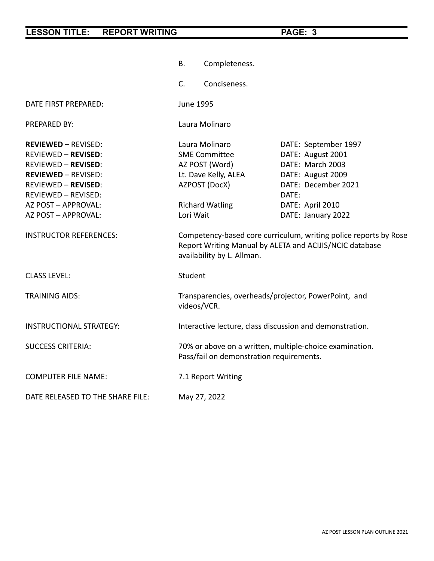|                                                                                                                                                                                                                                                          | Completeness.<br>В.                                                                                                                                       |                                                                                                                                                              |  |  |  |
|----------------------------------------------------------------------------------------------------------------------------------------------------------------------------------------------------------------------------------------------------------|-----------------------------------------------------------------------------------------------------------------------------------------------------------|--------------------------------------------------------------------------------------------------------------------------------------------------------------|--|--|--|
|                                                                                                                                                                                                                                                          | C.<br>Conciseness.                                                                                                                                        |                                                                                                                                                              |  |  |  |
| DATE FIRST PREPARED:                                                                                                                                                                                                                                     | <b>June 1995</b>                                                                                                                                          |                                                                                                                                                              |  |  |  |
| PREPARED BY:                                                                                                                                                                                                                                             | Laura Molinaro                                                                                                                                            |                                                                                                                                                              |  |  |  |
| <b>REVIEWED - REVISED:</b><br><b>REVIEWED - REVISED:</b><br><b>REVIEWED - REVISED:</b><br><b>REVIEWED - REVISED:</b><br><b>REVIEWED - REVISED:</b><br>REVIEWED - REVISED:<br>AZ POST - APPROVAL:<br>AZ POST - APPROVAL:<br><b>INSTRUCTOR REFERENCES:</b> | Laura Molinaro<br><b>SME Committee</b><br>AZ POST (Word)<br>Lt. Dave Kelly, ALEA<br>AZPOST (DocX)<br><b>Richard Watling</b><br>Lori Wait                  | DATE: September 1997<br>DATE: August 2001<br>DATE: March 2003<br>DATE: August 2009<br>DATE: December 2021<br>DATE:<br>DATE: April 2010<br>DATE: January 2022 |  |  |  |
|                                                                                                                                                                                                                                                          | Competency-based core curriculum, writing police reports by Rose<br>Report Writing Manual by ALETA and ACIJIS/NCIC database<br>availability by L. Allman. |                                                                                                                                                              |  |  |  |
| <b>CLASS LEVEL:</b>                                                                                                                                                                                                                                      | Student                                                                                                                                                   |                                                                                                                                                              |  |  |  |
| <b>TRAINING AIDS:</b>                                                                                                                                                                                                                                    | Transparencies, overheads/projector, PowerPoint, and<br>videos/VCR.                                                                                       |                                                                                                                                                              |  |  |  |
| <b>INSTRUCTIONAL STRATEGY:</b>                                                                                                                                                                                                                           | Interactive lecture, class discussion and demonstration.                                                                                                  |                                                                                                                                                              |  |  |  |
| <b>SUCCESS CRITERIA:</b>                                                                                                                                                                                                                                 | 70% or above on a written, multiple-choice examination.<br>Pass/fail on demonstration requirements.                                                       |                                                                                                                                                              |  |  |  |
| <b>COMPUTER FILE NAME:</b>                                                                                                                                                                                                                               | 7.1 Report Writing                                                                                                                                        |                                                                                                                                                              |  |  |  |
| DATE RELEASED TO THE SHARE FILE:                                                                                                                                                                                                                         | May 27, 2022                                                                                                                                              |                                                                                                                                                              |  |  |  |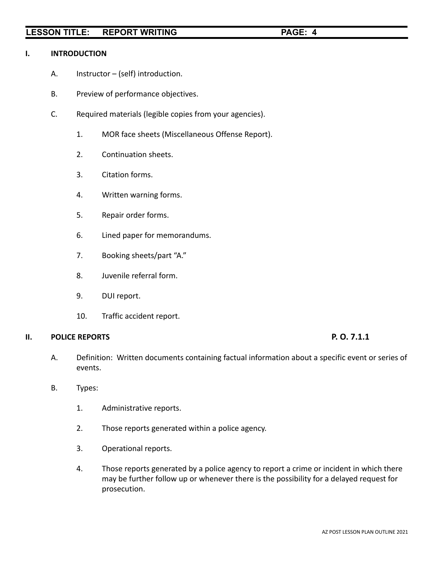### **I. INTRODUCTION**

- A. Instructor (self) introduction.
- B. Preview of performance objectives.
- C. Required materials (legible copies from your agencies).
	- 1. MOR face sheets (Miscellaneous Offense Report).
	- 2. Continuation sheets.
	- 3. Citation forms.
	- 4. Written warning forms.
	- 5. Repair order forms.
	- 6. Lined paper for memorandums.
	- 7. Booking sheets/part "A."
	- 8. Juvenile referral form.
	- 9. DUI report.
	- 10. Traffic accident report.

### **II. POLICE REPORTS P. O. 7.1.1**

- A. Definition: Written documents containing factual information about a specific event or series of events.
- B. Types:
	- 1. Administrative reports.
	- 2. Those reports generated within a police agency.
	- 3. Operational reports.
	- 4. Those reports generated by a police agency to report a crime or incident in which there may be further follow up or whenever there is the possibility for a delayed request for prosecution.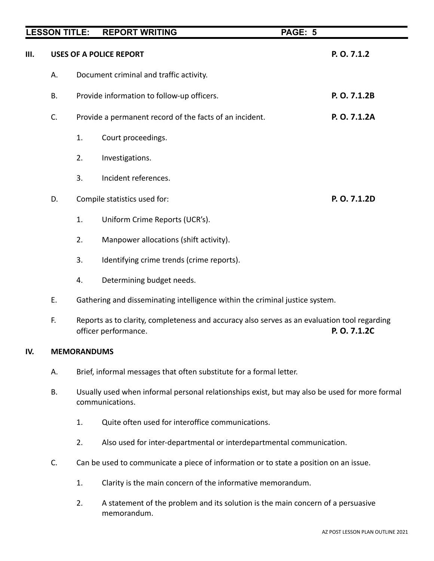|     | <b>LESSON TITLE:</b> |                                                                                                                                      | <b>REPORT WRITING</b>                                                        | PAGE: 5 |              |
|-----|----------------------|--------------------------------------------------------------------------------------------------------------------------------------|------------------------------------------------------------------------------|---------|--------------|
| Ш.  |                      |                                                                                                                                      | <b>USES OF A POLICE REPORT</b>                                               |         | P. O. 7.1.2  |
|     | Α.                   |                                                                                                                                      | Document criminal and traffic activity.                                      |         |              |
|     | <b>B.</b>            |                                                                                                                                      | Provide information to follow-up officers.                                   |         | P. O. 7.1.2B |
|     | C.                   |                                                                                                                                      | Provide a permanent record of the facts of an incident.                      |         | P.O. 7.1.2A  |
|     |                      | 1.                                                                                                                                   | Court proceedings.                                                           |         |              |
|     |                      | 2.                                                                                                                                   | Investigations.                                                              |         |              |
|     |                      | 3.                                                                                                                                   | Incident references.                                                         |         |              |
|     | D.                   | P. O. 7.1.2D<br>Compile statistics used for:                                                                                         |                                                                              |         |              |
|     |                      | 1.                                                                                                                                   | Uniform Crime Reports (UCR's).                                               |         |              |
|     |                      | 2.                                                                                                                                   | Manpower allocations (shift activity).                                       |         |              |
|     |                      | 3.                                                                                                                                   | Identifying crime trends (crime reports).                                    |         |              |
|     |                      | 4.                                                                                                                                   | Determining budget needs.                                                    |         |              |
|     | Ε.                   |                                                                                                                                      | Gathering and disseminating intelligence within the criminal justice system. |         |              |
|     | F.                   | Reports as to clarity, completeness and accuracy also serves as an evaluation tool regarding<br>P. O. 7.1.2C<br>officer performance. |                                                                              |         |              |
| IV. | <b>MEMORANDUMS</b>   |                                                                                                                                      |                                                                              |         |              |
|     | А.                   | Brief, informal messages that often substitute for a formal letter.                                                                  |                                                                              |         |              |
|     | <b>B.</b>            | Usually used when informal personal relationships exist, but may also be used for more formal<br>communications.                     |                                                                              |         |              |

- 1. Quite often used for interoffice communications.
- 2. Also used for inter-departmental or interdepartmental communication.
- C. Can be used to communicate a piece of information or to state a position on an issue.
	- 1. Clarity is the main concern of the informative memorandum.
	- 2. A statement of the problem and its solution is the main concern of a persuasive memorandum.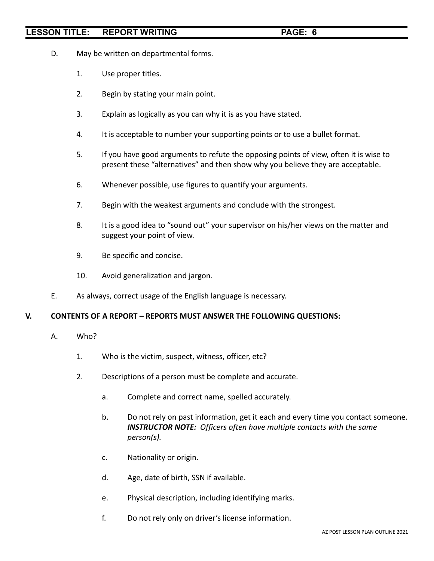- D. May be written on departmental forms.
	- 1. Use proper titles.
	- 2. Begin by stating your main point.
	- 3. Explain as logically as you can why it is as you have stated.
	- 4. It is acceptable to number your supporting points or to use a bullet format.
	- 5. If you have good arguments to refute the opposing points of view, often it is wise to present these "alternatives" and then show why you believe they are acceptable.
	- 6. Whenever possible, use figures to quantify your arguments.
	- 7. Begin with the weakest arguments and conclude with the strongest.
	- 8. It is a good idea to "sound out" your supervisor on his/her views on the matter and suggest your point of view.
	- 9. Be specific and concise.
	- 10. Avoid generalization and jargon.
- E. As always, correct usage of the English language is necessary.

### **V. CONTENTS OF A REPORT – REPORTS MUST ANSWER THE FOLLOWING QUESTIONS:**

- A. Who?
	- 1. Who is the victim, suspect, witness, officer, etc?
	- 2. Descriptions of a person must be complete and accurate.
		- a. Complete and correct name, spelled accurately.
		- b. Do not rely on past information, get it each and every time you contact someone. *INSTRUCTOR NOTE: Officers often have multiple contacts with the same person(s).*
		- c. Nationality or origin.
		- d. Age, date of birth, SSN if available.
		- e. Physical description, including identifying marks.
		- f. Do not rely only on driver's license information.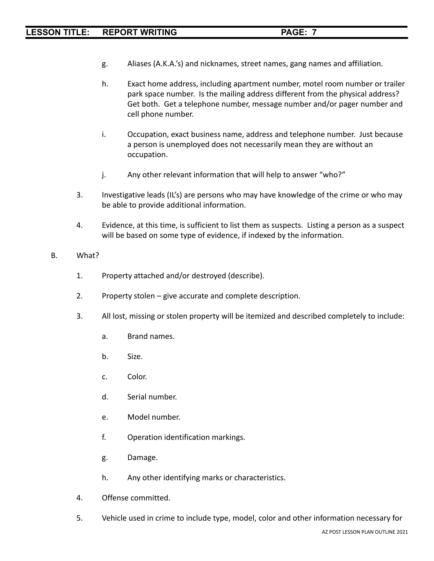- g. Aliases (A.K.A.'s) and nicknames, street names, gang names and affiliation.
- h. Exact home address, including apartment number, motel room number or trailer park space number. Is the mailing address different from the physical address? Get both. Get a telephone number, message number and/or pager number and cell phone number.
- i. Occupation, exact business name, address and telephone number. Just because a person is unemployed does not necessarily mean they are without an occupation.
- j. Any other relevant information that will help to answer "who?"
- 3. Investigative leads (IL's) are persons who may have knowledge of the crime or who may be able to provide additional information.
- 4. Evidence, at this time, is sufficient to list them as suspects. Listing a person as a suspect will be based on some type of evidence, if indexed by the information.
- B. What?
	- 1. Property attached and/or destroyed (describe).
	- 2. Property stolen give accurate and complete description.
	- 3. All lost, missing or stolen property will be itemized and described completely to include:
		- a. Brand names.
		- b. Size.
		- c. Color.
		- d. Serial number.
		- e. Model number.
		- f. Operation identification markings.
		- g. Damage.
		- h. Any other identifying marks or characteristics.
	- 4. Offense committed.
	- 5. Vehicle used in crime to include type, model, color and other information necessary for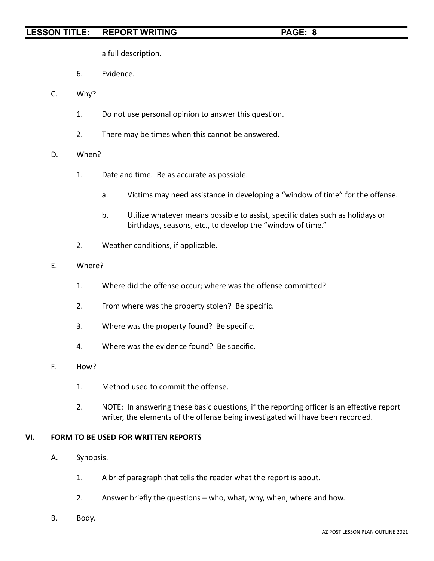a full description.

- 6. Evidence.
- C. Why?
	- 1. Do not use personal opinion to answer this question.
	- 2. There may be times when this cannot be answered.
- D. When?
	- 1. Date and time. Be as accurate as possible.
		- a. Victims may need assistance in developing a "window of time" for the offense.
		- b. Utilize whatever means possible to assist, specific dates such as holidays or birthdays, seasons, etc., to develop the "window of time."
	- 2. Weather conditions, if applicable.
- E. Where?
	- 1. Where did the offense occur; where was the offense committed?
	- 2. From where was the property stolen? Be specific.
	- 3. Where was the property found? Be specific.
	- 4. Where was the evidence found? Be specific.
- F. How?
	- 1. Method used to commit the offense.
	- 2. NOTE: In answering these basic questions, if the reporting officer is an effective report writer, the elements of the offense being investigated will have been recorded.

# **VI. FORM TO BE USED FOR WRITTEN REPORTS**

- A. Synopsis.
	- 1. A brief paragraph that tells the reader what the report is about.
	- 2. Answer briefly the questions who, what, why, when, where and how.
- B. Body.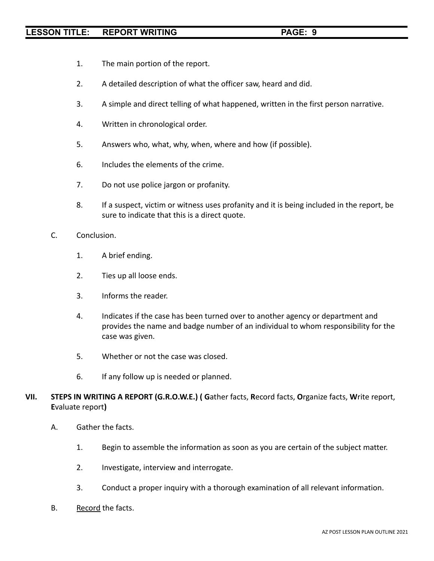- 1. The main portion of the report.
- 2. A detailed description of what the officer saw, heard and did.
- 3. A simple and direct telling of what happened, written in the first person narrative.
- 4. Written in chronological order.
- 5. Answers who, what, why, when, where and how (if possible).
- 6. Includes the elements of the crime.
- 7. Do not use police jargon or profanity.
- 8. If a suspect, victim or witness uses profanity and it is being included in the report, be sure to indicate that this is a direct quote.
- C. Conclusion.
	- 1. A brief ending.
	- 2. Ties up all loose ends.
	- 3. Informs the reader.
	- 4. Indicates if the case has been turned over to another agency or department and provides the name and badge number of an individual to whom responsibility for the case was given.
	- 5. Whether or not the case was closed.
	- 6. If any follow up is needed or planned.
- **VII. STEPS IN WRITING A REPORT (G.R.O.W.E.) ( G**ather facts, **R**ecord facts, **O**rganize facts, **W**rite report, **E**valuate report**)**
	- A. Gather the facts.
		- 1. Begin to assemble the information as soon as you are certain of the subject matter.
		- 2. Investigate, interview and interrogate.
		- 3. Conduct a proper inquiry with a thorough examination of all relevant information.
	- B. Record the facts.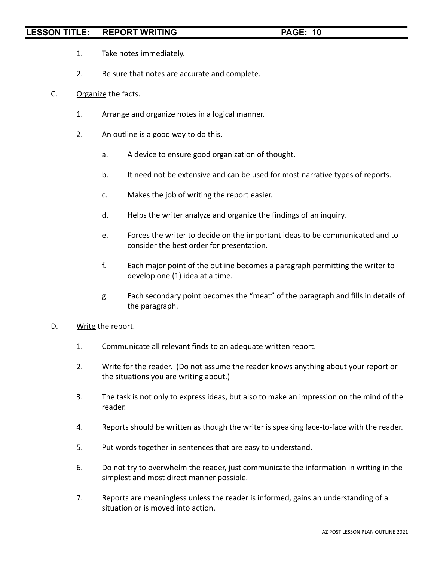- 1. Take notes immediately.
- 2. Be sure that notes are accurate and complete.
- C. Organize the facts.
	- 1. Arrange and organize notes in a logical manner.
	- 2. An outline is a good way to do this.
		- a. A device to ensure good organization of thought.
		- b. It need not be extensive and can be used for most narrative types of reports.
		- c. Makes the job of writing the report easier.
		- d. Helps the writer analyze and organize the findings of an inquiry.
		- e. Forces the writer to decide on the important ideas to be communicated and to consider the best order for presentation.
		- f. Each major point of the outline becomes a paragraph permitting the writer to develop one (1) idea at a time.
		- g. Each secondary point becomes the "meat" of the paragraph and fills in details of the paragraph.
- D. Write the report.
	- 1. Communicate all relevant finds to an adequate written report.
	- 2. Write for the reader. (Do not assume the reader knows anything about your report or the situations you are writing about.)
	- 3. The task is not only to express ideas, but also to make an impression on the mind of the reader.
	- 4. Reports should be written as though the writer is speaking face-to-face with the reader.
	- 5. Put words together in sentences that are easy to understand.
	- 6. Do not try to overwhelm the reader, just communicate the information in writing in the simplest and most direct manner possible.
	- 7. Reports are meaningless unless the reader is informed, gains an understanding of a situation or is moved into action.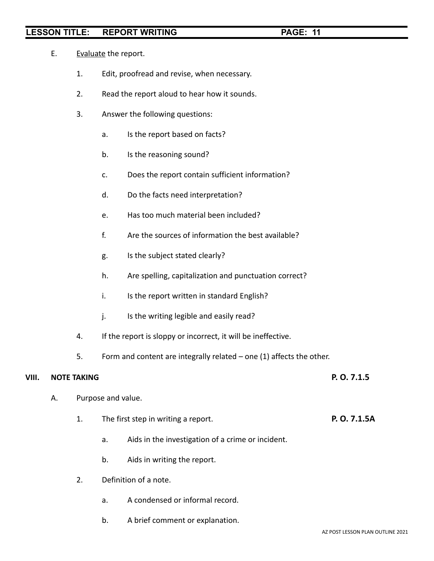- E. Evaluate the report.
	- 1. Edit, proofread and revise, when necessary.
	- 2. Read the report aloud to hear how it sounds.
	- 3. Answer the following questions:
		- a. Is the report based on facts?
		- b. Is the reasoning sound?
		- c. Does the report contain sufficient information?
		- d. Do the facts need interpretation?
		- e. Has too much material been included?
		- f. Are the sources of information the best available?
		- g. Is the subject stated clearly?
		- h. Are spelling, capitalization and punctuation correct?
		- i. Is the report written in standard English?
		- j. Is the writing legible and easily read?
	- 4. If the report is sloppy or incorrect, it will be ineffective.
	- 5. Form and content are integrally related one (1) affects the other.

# **VIII. NOTE TAKING P. O. 7.1.5**

- A. Purpose and value.
	- 1. The first step in writing a report. **P. O. 7.1.5A**
		- a. Aids in the investigation of a crime or incident.
		- b. Aids in writing the report.
	- 2. Definition of a note.
		- a. A condensed or informal record.
		- b. A brief comment or explanation.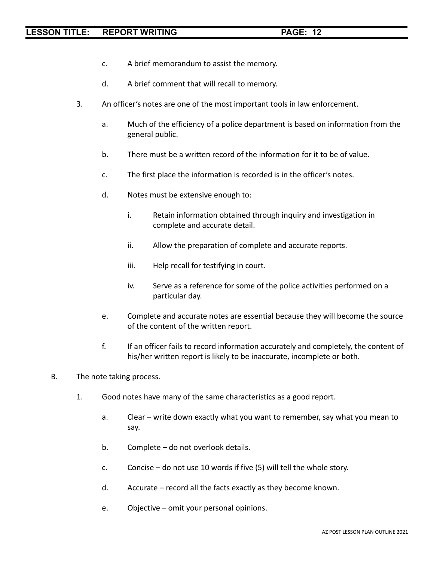- c. A brief memorandum to assist the memory.
- d. A brief comment that will recall to memory.
- 3. An officer's notes are one of the most important tools in law enforcement.
	- a. Much of the efficiency of a police department is based on information from the general public.
	- b. There must be a written record of the information for it to be of value.
	- c. The first place the information is recorded is in the officer's notes.
	- d. Notes must be extensive enough to:
		- i. Retain information obtained through inquiry and investigation in complete and accurate detail.
		- ii. Allow the preparation of complete and accurate reports.
		- iii. Help recall for testifying in court.
		- iv. Serve as a reference for some of the police activities performed on a particular day.
	- e. Complete and accurate notes are essential because they will become the source of the content of the written report.
	- f. If an officer fails to record information accurately and completely, the content of his/her written report is likely to be inaccurate, incomplete or both.
- B. The note taking process.
	- 1. Good notes have many of the same characteristics as a good report.
		- a. Clear write down exactly what you want to remember, say what you mean to say.
		- b. Complete do not overlook details.
		- c. Concise do not use 10 words if five (5) will tell the whole story.
		- d. Accurate record all the facts exactly as they become known.
		- e. Objective omit your personal opinions.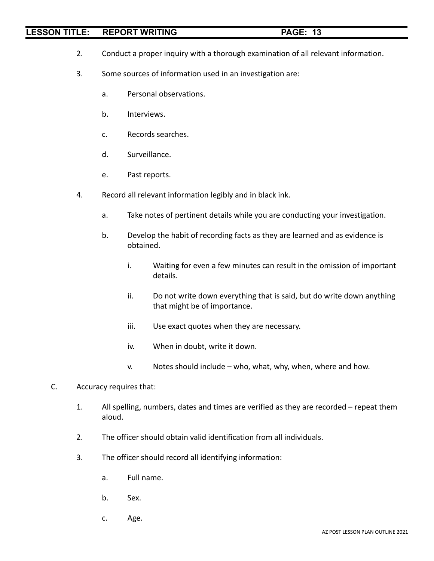- 2. Conduct a proper inquiry with a thorough examination of all relevant information.
- 3. Some sources of information used in an investigation are:
	- a. Personal observations.
	- b. Interviews.
	- c. Records searches.
	- d. Surveillance.
	- e. Past reports.
- 4. Record all relevant information legibly and in black ink.
	- a. Take notes of pertinent details while you are conducting your investigation.
	- b. Develop the habit of recording facts as they are learned and as evidence is obtained.
		- i. Waiting for even a few minutes can result in the omission of important details.
		- ii. Do not write down everything that is said, but do write down anything that might be of importance.
		- iii. Use exact quotes when they are necessary.
		- iv. When in doubt, write it down.
		- v. Notes should include who, what, why, when, where and how.
- C. Accuracy requires that:
	- 1. All spelling, numbers, dates and times are verified as they are recorded repeat them aloud.
	- 2. The officer should obtain valid identification from all individuals.
	- 3. The officer should record all identifying information:
		- a. Full name.
		- b. Sex.
		- c. Age.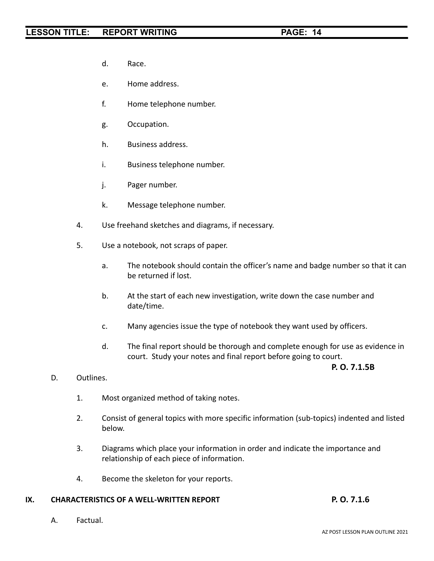- d. Race.
- e. Home address.
- f. Home telephone number.
- g. Occupation.
- h. Business address.
- i. Business telephone number.
- j. Pager number.
- k. Message telephone number.
- 4. Use freehand sketches and diagrams, if necessary.
- 5. Use a notebook, not scraps of paper.
	- a. The notebook should contain the officer's name and badge number so that it can be returned if lost.
	- b. At the start of each new investigation, write down the case number and date/time.
	- c. Many agencies issue the type of notebook they want used by officers.
	- d. The final report should be thorough and complete enough for use as evidence in court. Study your notes and final report before going to court.

### **P. O. 7.1.5B**

- D. Outlines.
	- 1. Most organized method of taking notes.
	- 2. Consist of general topics with more specific information (sub-topics) indented and listed below.
	- 3. Diagrams which place your information in order and indicate the importance and relationship of each piece of information.
	- 4. Become the skeleton for your reports.

# **IX. CHARACTERISTICS OF A WELL-WRITTEN REPORT P. O. 7.1.6**

A. Factual.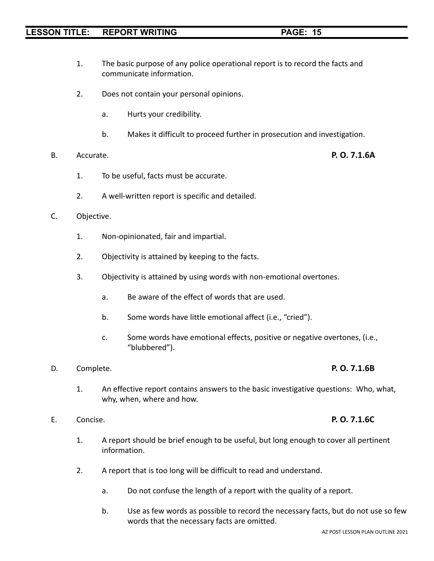1. The basic purpose of any police operational report is to record the facts and communicate information.

- 2. Does not contain your personal opinions.
	- a. Hurts your credibility.
	- b. Makes it difficult to proceed further in prosecution and investigation.

# B. Accurate. **P. O. 7.1.6A**

- 1. To be useful, facts must be accurate.
- 2. A well-written report is specific and detailed.
- C. Objective.
	- 1. Non-opinionated, fair and impartial.
	- 2. Objectivity is attained by keeping to the facts.
	- 3. Objectivity is attained by using words with non-emotional overtones.
		- a. Be aware of the effect of words that are used.
		- b. Some words have little emotional affect (i.e., "cried").
		- c. Some words have emotional effects, positive or negative overtones, (i.e., "blubbered").
- D. Complete. **P. O. 7.1.6B**
	-
	- 1. An effective report contains answers to the basic investigative questions: Who, what, why, when, where and how.
- E. Concise. **P. O. 7.1.6C**
	- 1. A report should be brief enough to be useful, but long enough to cover all pertinent information.
	- 2. A report that is too long will be difficult to read and understand.
		- a. Do not confuse the length of a report with the quality of a report.
		- b. Use as few words as possible to record the necessary facts, but do not use so few words that the necessary facts are omitted.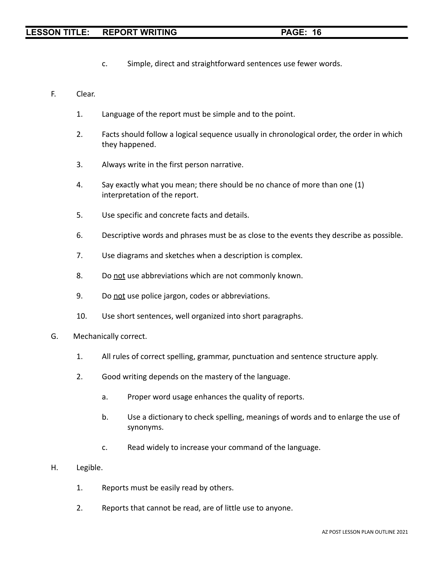- c. Simple, direct and straightforward sentences use fewer words.
- F. Clear.
	- 1. Language of the report must be simple and to the point.
	- 2. Facts should follow a logical sequence usually in chronological order, the order in which they happened.
	- 3. Always write in the first person narrative.
	- 4. Say exactly what you mean; there should be no chance of more than one (1) interpretation of the report.
	- 5. Use specific and concrete facts and details.
	- 6. Descriptive words and phrases must be as close to the events they describe as possible.
	- 7. Use diagrams and sketches when a description is complex.
	- 8. Do not use abbreviations which are not commonly known.
	- 9. Do not use police jargon, codes or abbreviations.
	- 10. Use short sentences, well organized into short paragraphs.
- G. Mechanically correct.
	- 1. All rules of correct spelling, grammar, punctuation and sentence structure apply.
	- 2. Good writing depends on the mastery of the language.
		- a. Proper word usage enhances the quality of reports.
		- b. Use a dictionary to check spelling, meanings of words and to enlarge the use of synonyms.
		- c. Read widely to increase your command of the language.
- H. Legible.
	- 1. Reports must be easily read by others.
	- 2. Reports that cannot be read, are of little use to anyone.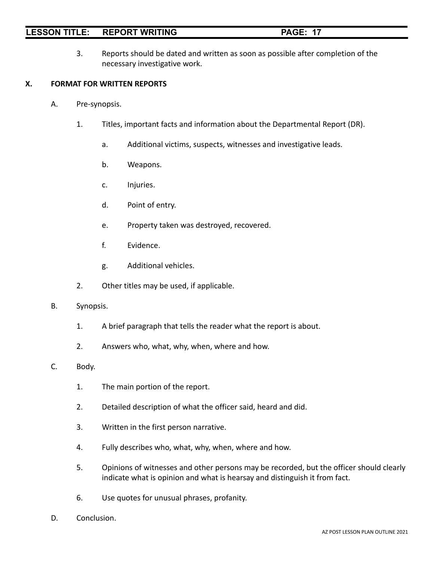- 
- 3. Reports should be dated and written as soon as possible after completion of the necessary investigative work.

# **X. FORMAT FOR WRITTEN REPORTS**

- A. Pre-synopsis.
	- 1. Titles, important facts and information about the Departmental Report (DR).
		- a. Additional victims, suspects, witnesses and investigative leads.
		- b. Weapons.
		- c. Injuries.
		- d. Point of entry.
		- e. Property taken was destroyed, recovered.
		- f. Evidence.
		- g. Additional vehicles.
	- 2. Other titles may be used, if applicable.
- B. Synopsis.
	- 1. A brief paragraph that tells the reader what the report is about.
	- 2. Answers who, what, why, when, where and how.

# C. Body.

- 1. The main portion of the report.
- 2. Detailed description of what the officer said, heard and did.
- 3. Written in the first person narrative.
- 4. Fully describes who, what, why, when, where and how.
- 5. Opinions of witnesses and other persons may be recorded, but the officer should clearly indicate what is opinion and what is hearsay and distinguish it from fact.
- 6. Use quotes for unusual phrases, profanity.
- D. Conclusion.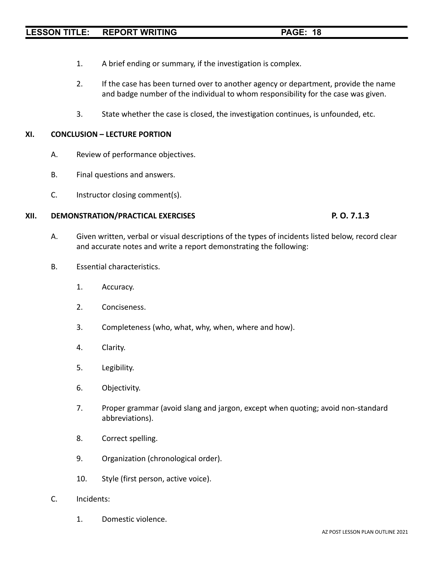- 1. A brief ending or summary, if the investigation is complex.
- 2. If the case has been turned over to another agency or department, provide the name and badge number of the individual to whom responsibility for the case was given.
- 3. State whether the case is closed, the investigation continues, is unfounded, etc.

### **XI. CONCLUSION – LECTURE PORTION**

- A. Review of performance objectives.
- B. Final questions and answers.
- C. Instructor closing comment(s).

## **XII. DEMONSTRATION/PRACTICAL EXERCISES P. O. 7.1.3**

- A. Given written, verbal or visual descriptions of the types of incidents listed below, record clear and accurate notes and write a report demonstrating the following:
- B. Essential characteristics.
	- 1. Accuracy.
	- 2. Conciseness.
	- 3. Completeness (who, what, why, when, where and how).
	- 4. Clarity.
	- 5. Legibility.
	- 6. Objectivity.
	- 7. Proper grammar (avoid slang and jargon, except when quoting; avoid non-standard abbreviations).
	- 8. Correct spelling.
	- 9. Organization (chronological order).
	- 10. Style (first person, active voice).
- C. Incidents:
	- 1. Domestic violence.